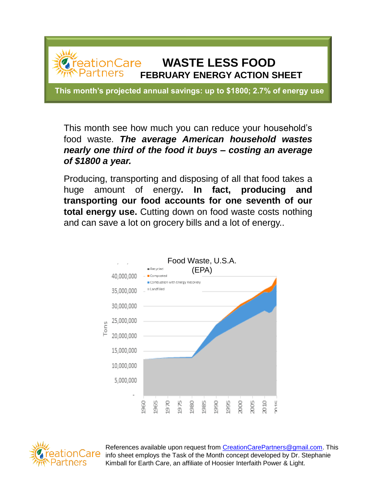

This month see how much you can reduce your household's food waste. *The average American household wastes nearly one third of the food it buys – costing an average of \$1800 a year.*

Producing, transporting and disposing of all that food takes a huge amount of energy**. In fact, producing and transporting our food accounts for one seventh of our total energy use.** Cutting down on food waste costs nothing and can save a lot on grocery bills and a lot of energy..





References available upon request from [CreationCarePartners@gmail.com.](mailto:CreationCarePartners@gmail.com) This  $\overline{G}$  info sheet employs the Task of the Month concept developed by Dr. Stephanie Kimball for Earth Care, an affiliate of Hoosier Interfaith Power & Light.